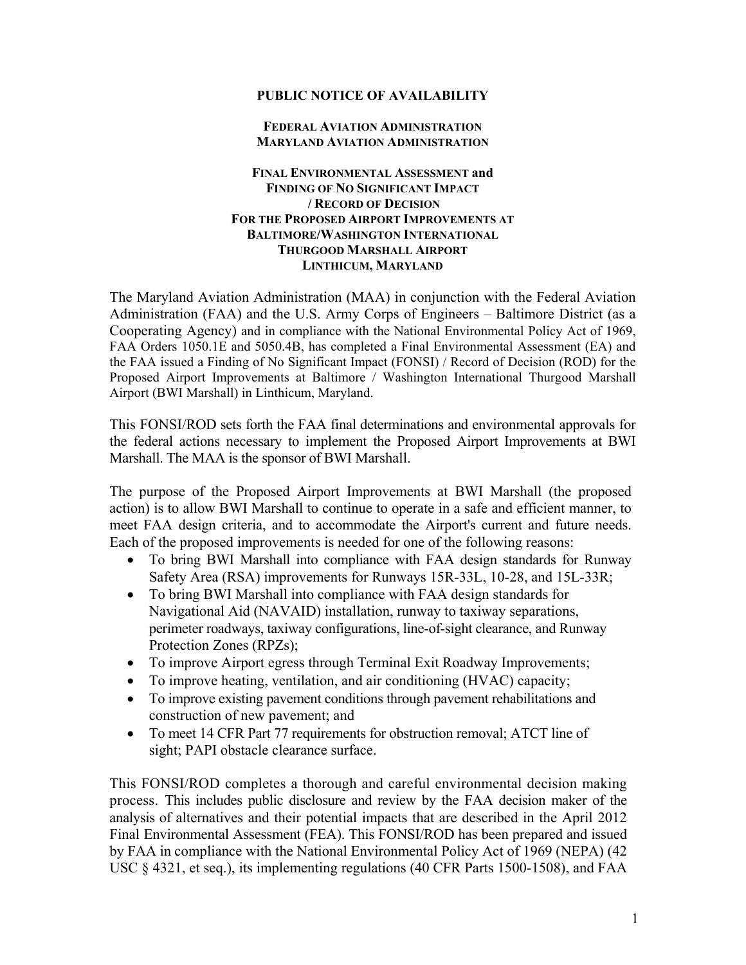## **PUBLIC NOTICE OF AVAILABILITY**

## **FEDERAL AVIATION ADMINISTRATION MARYLAND AVIATION ADMINISTRATION**

## **FINAL ENVIRONMENTAL ASSESSMENT and FINDING OF NO SIGNIFICANT IMPACT / RECORD OF DECISION FOR THE PROPOSED AIRPORT IMPROVEMENTS AT BALTIMORE/WASHINGTON INTERNATIONAL THURGOOD MARSHALL AIRPORT LINTHICUM, MARYLAND**

The Maryland Aviation Administration (MAA) in conjunction with the Federal Aviation Administration (FAA) and the U.S. Army Corps of Engineers – Baltimore District (as a Cooperating Agency) and in compliance with the National Environmental Policy Act of 1969, FAA Orders 1050.1E and 5050.4B, has completed a Final Environmental Assessment (EA) and the FAA issued a Finding of No Significant Impact (FONSI) / Record of Decision (ROD) for the Proposed Airport Improvements at Baltimore / Washington International Thurgood Marshall Airport (BWI Marshall) in Linthicum, Maryland.

This FONSI/ROD sets forth the FAA final determinations and environmental approvals for the federal actions necessary to implement the Proposed Airport Improvements at BWI Marshall. The MAA is the sponsor of BWI Marshall.

The purpose of the Proposed Airport Improvements at BWI Marshall (the proposed action) is to allow BWI Marshall to continue to operate in a safe and efficient manner, to meet FAA design criteria, and to accommodate the Airport's current and future needs. Each of the proposed improvements is needed for one of the following reasons:

- To bring BWI Marshall into compliance with FAA design standards for Runway Safety Area (RSA) improvements for Runways 15R-33L, 10-28, and 15L-33R;
- To bring BWI Marshall into compliance with FAA design standards for Navigational Aid (NAVAID) installation, runway to taxiway separations, perimeter roadways, taxiway configurations, line-of-sight clearance, and Runway Protection Zones (RPZs);
- To improve Airport egress through Terminal Exit Roadway Improvements;
- To improve heating, ventilation, and air conditioning (HVAC) capacity;
- To improve existing pavement conditions through pavement rehabilitations and construction of new pavement; and
- To meet 14 CFR Part 77 requirements for obstruction removal; ATCT line of sight; PAPI obstacle clearance surface.

This FONSI/ROD completes a thorough and careful environmental decision making process. This includes public disclosure and review by the FAA decision maker of the analysis of alternatives and their potential impacts that are described in the April 2012 Final Environmental Assessment (FEA). This FONSI/ROD has been prepared and issued by FAA in compliance with the National Environmental Policy Act of 1969 (NEPA) (42 USC § 4321, et seq.), its implementing regulations (40 CFR Parts 1500-1508), and FAA